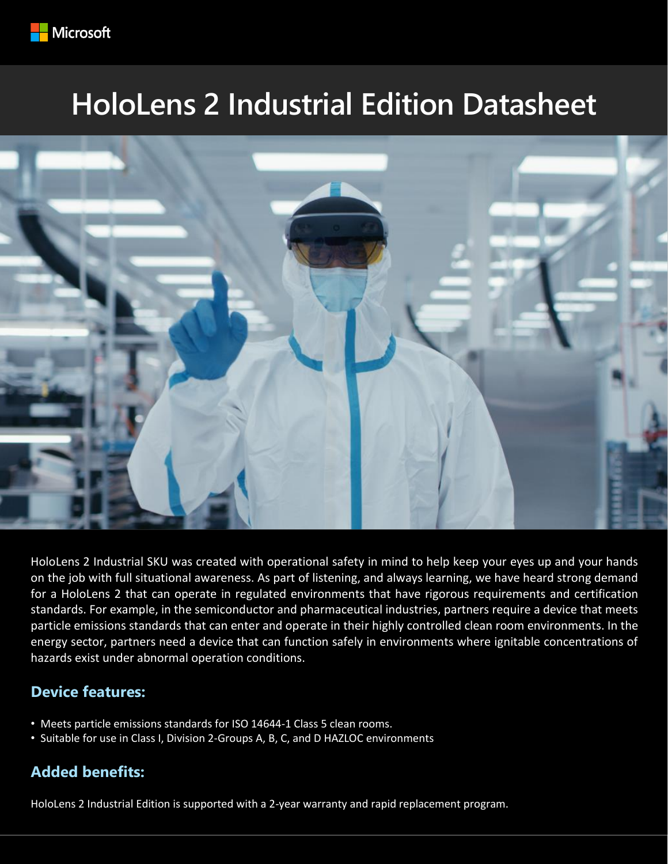

# **HoloLens 2 Industrial Edition Datasheet**



HoloLens 2 Industrial SKU was created with operational safety in mind to help keep your eyes up and your hands on the job with full situational awareness. As part of listening, and always learning, we have heard strong demand for a HoloLens 2 that can operate in regulated environments that have rigorous requirements and certification standards. For example, in the semiconductor and pharmaceutical industries, partners require a device that meets particle emissions standards that can enter and operate in their highly controlled clean room environments. In the energy sector, partners need a device that can function safely in environments where ignitable concentrations of hazards exist under abnormal operation conditions.

## **Device features:**

- Meets particle emissions standards for ISO 14644-1 Class 5 clean rooms.
- Suitable for use in Class I, Division 2-Groups A, B, C, and D HAZLOC environments

## **Added benefits:**

HoloLens 2 Industrial Edition is supported with a 2-year warranty and rapid replacement program.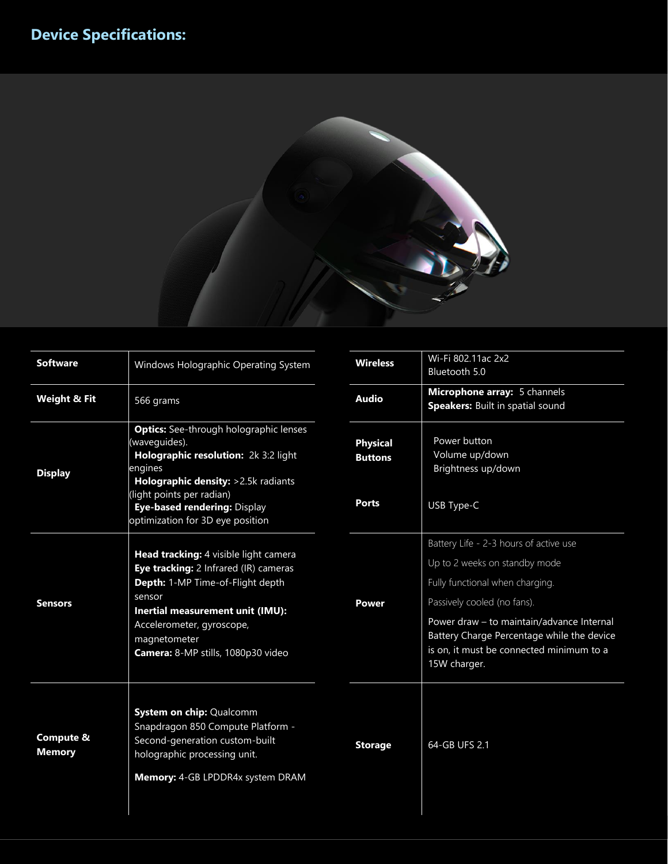

| <b>Software</b>            | Windows Holographic Operating System                                                                                                                                                                                                                     | <b>Wireless</b>                                   | Wi-Fi 802.11ac 2x2<br>Bluetooth 5.0                                                                                                                                                                                                                                                              |  |
|----------------------------|----------------------------------------------------------------------------------------------------------------------------------------------------------------------------------------------------------------------------------------------------------|---------------------------------------------------|--------------------------------------------------------------------------------------------------------------------------------------------------------------------------------------------------------------------------------------------------------------------------------------------------|--|
| <b>Weight &amp; Fit</b>    | 566 grams                                                                                                                                                                                                                                                | <b>Audio</b>                                      | Microphone array: 5 channels<br>Speakers: Built in spatial sound                                                                                                                                                                                                                                 |  |
| <b>Display</b>             | <b>Optics:</b> See-through holographic lenses<br>(waveguides).<br>Holographic resolution: 2k 3:2 light<br>engines<br>Holographic density: >2.5k radiants<br>light points per radian)<br>Eye-based rendering: Display<br>optimization for 3D eye position | <b>Physical</b><br><b>Buttons</b><br><b>Ports</b> | Power button<br>Volume up/down<br>Brightness up/down<br>USB Type-C                                                                                                                                                                                                                               |  |
| <b>Sensors</b>             | Head tracking: 4 visible light camera<br>Eye tracking: 2 Infrared (IR) cameras<br>Depth: 1-MP Time-of-Flight depth<br>sensor<br>Inertial measurement unit (IMU):<br>Accelerometer, gyroscope,<br>magnetometer<br>Camera: 8-MP stills, 1080p30 video      | Power                                             | Battery Life - 2-3 hours of active use<br>Up to 2 weeks on standby mode<br>Fully functional when charging.<br>Passively cooled (no fans).<br>Power draw - to maintain/advance Internal<br>Battery Charge Percentage while the device<br>is on, it must be connected minimum to a<br>15W charger. |  |
| Compute &<br><b>Memory</b> | System on chip: Qualcomm<br>Snapdragon 850 Compute Platform -<br>Second-generation custom-built<br>holographic processing unit.<br>Memory: 4-GB LPDDR4x system DRAM                                                                                      | <b>Storage</b>                                    | 64-GB UFS 2.1                                                                                                                                                                                                                                                                                    |  |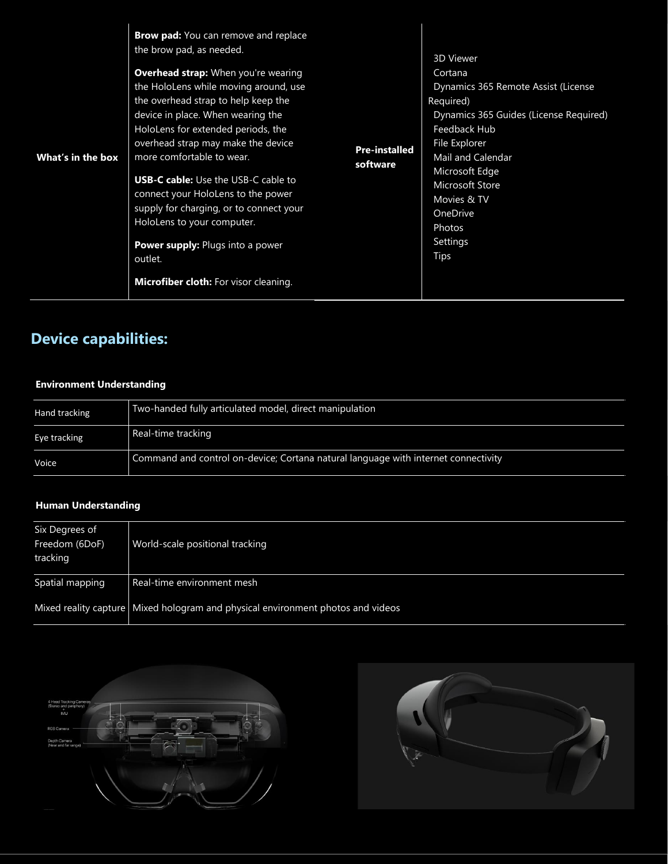## **Device capabilities:**

#### **Environment Understanding**

| Hand tracking | Two-handed fully articulated model, direct manipulation                            |
|---------------|------------------------------------------------------------------------------------|
| Eye tracking  | Real-time tracking                                                                 |
| Voice         | Command and control on-device; Cortana natural language with internet connectivity |

### **Human Understanding**

| Six Degrees of<br>Freedom (6DoF)<br>tracking | World-scale positional tracking                                                   |
|----------------------------------------------|-----------------------------------------------------------------------------------|
| Spatial mapping                              | Real-time environment mesh                                                        |
|                                              | Mixed reality capture   Mixed hologram and physical environment photos and videos |



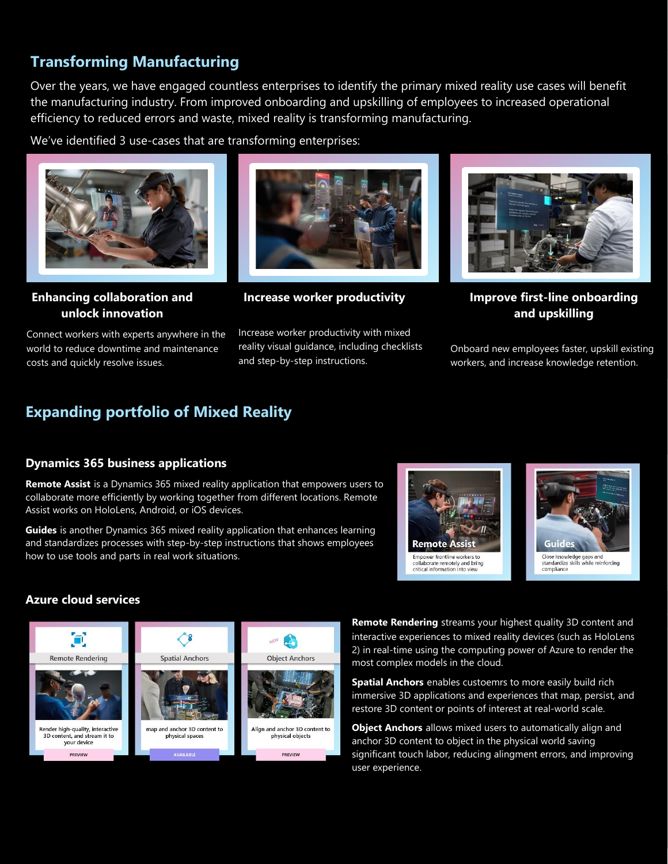## **Transforming Manufacturing**

Over the years, we have engaged countless enterprises to identify the primary mixed reality use cases will benefit the manufacturing industry. From improved onboarding and upskilling of employees to increased operational efficiency to reduced errors and waste, mixed reality is transforming manufacturing.

We've identified 3 use-cases that are transforming enterprises:



**Enhancing collaboration and unlock innovation**

Connect workers with experts anywhere in the world to reduce downtime and maintenance costs and quickly resolve issues.



**Increase worker productivity**

Increase worker productivity with mixed reality visual guidance, including checklists and step-by-step instructions.



**Improve first-line onboarding and upskilling**

Onboard new employees faster, upskill existing workers, and increase knowledge retention.

## **Expanding portfolio of Mixed Reality**

#### **Dynamics 365 business applications**

**Remote Assist** is a Dynamics 365 mixed reality application that empowers users to collaborate more efficiently by working together from different locations. Remote Assist works on HoloLens, Android, or iOS devices.

**Guides** is another Dynamics 365 mixed reality application that enhances learning and standardizes processes with step-by-step instructions that shows employees how to use tools and parts in real work situations.





#### **Azure cloud services**



• **Remote Rendering** streams your highest quality 3D content and interactive experiences to mixed reality devices (such as HoloLens 2) in real-time using the computing power of Azure to render the most complex models in the cloud.

**Spatial Anchors** enables custoemrs to more easily build rich immersive 3D applications and experiences that map, persist, and restore 3D content or points of interest at real-world scale.

**Object Anchors** allows mixed users to automatically align and anchor 3D content to object in the physical world saving significant touch labor, reducing alingment errors, and improving user experience.